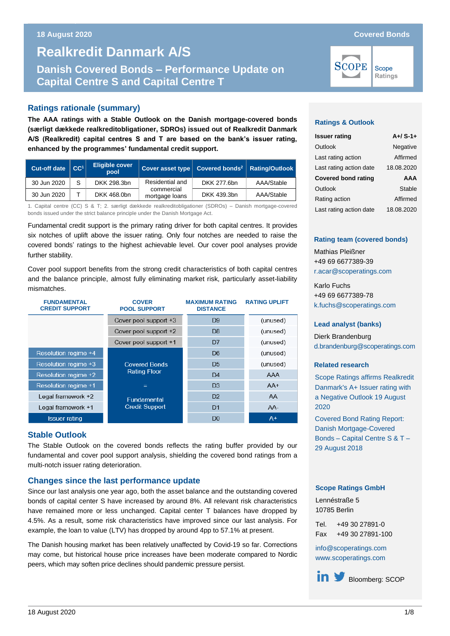# **Danish Covered Bonds – Performance Update on Capital Centre S and Realkredit Danmark A/S Danish Covered Bonds – Performance Update on Capital Centre S and Capital Centre T**

# **Ratings rationale (summary)**

**The AAA ratings with a Stable Outlook on the Danish mortgage-covered bonds (særligt dækkede realkreditobligationer, SDROs) issued out of Realkredit Danmark A/S (Realkredit) capital centres S and T are based on the bank's issuer rating, enhanced by the programmes' fundamental credit support.** 

| Cut-off date CC <sup>1</sup> |   | <b>Eligible cover</b><br>pool | Cover asset type   Covered bonds <sup>2</sup>   Rating/Outlook |             |            |
|------------------------------|---|-------------------------------|----------------------------------------------------------------|-------------|------------|
| 30 Jun 2020                  | S | DKK 298.3bn                   | Residential and                                                | DKK 277.6bn | AAA/Stable |
| 30 Jun 2020                  |   | DKK 468.0bn                   | commercial<br>mortgage loans                                   | DKK 439.3bn | AAA/Stable |

1. Capital centre (CC) S & T; 2. særligt dækkede realkreditobligationer (SDROs) – Danish mortgage-covered bonds issued under the strict balance principle under the Danish Mortgage Act.

Fundamental credit support is the primary rating driver for both capital centres. It provides six notches of uplift above the issuer rating. Only four notches are needed to raise the covered bonds' ratings to the highest achievable level. Our cover pool analyses provide further stability.

Cover pool support benefits from the strong credit characteristics of both capital centres and the balance principle, almost fully eliminating market risk, particularly asset-liability mismatches.

| <b>FUNDAMENTAL</b><br><b>CREDIT SUPPORT</b> | <b>COVER</b><br><b>POOL SUPPORT</b> | <b>MAXIMUM RATING</b><br><b>DISTANCE</b> | <b>RATING UPLIFT</b> |
|---------------------------------------------|-------------------------------------|------------------------------------------|----------------------|
|                                             | Cover pool support +3               | D <sub>9</sub>                           | (unused)             |
|                                             | Cover pool support +2               | D8                                       | (unused)             |
|                                             | Cover pool support +1               | D7                                       | (unused)             |
| Resolution regime +4                        |                                     | D6                                       | (unused)             |
| Resolution regime +3                        | <b>Covered Bonds</b>                | D <sub>5</sub>                           | (unused)             |
| Resolution regime +2                        | <b>Rating Floor</b>                 | D <sub>4</sub>                           | AAA                  |
| Resolution regime +1                        | $=$                                 | D <sub>3</sub>                           | $AA+$                |
| Legal framework +2                          | <b>Fundamental</b>                  | D <sub>2</sub>                           | AA                   |
| Legal framework +1                          | <b>Credit Support</b>               | D <sub>1</sub>                           | AA-                  |
| <b>Issuer rating</b>                        |                                     | D <sub>0</sub>                           | $A+$                 |

## **Stable Outlook**

The Stable Outlook on the covered bonds reflects the rating buffer provided by our fundamental and cover pool support analysis, shielding the covered bond ratings from a multi-notch issuer rating deterioration.

## **Changes since the last performance update**

Since our last analysis one year ago, both the asset balance and the outstanding covered bonds of capital center S have increased by around 8%. All relevant risk characteristics have remained more or less unchanged. Capital center T balances have dropped by 4.5%. As a result, some risk characteristics have improved since our last analysis. For example, the loan to value (LTV) has dropped by around 4pp to 57.1% at present.

The Danish housing market has been relatively unaffected by Covid-19 so far. Corrections may come, but historical house price increases have been moderate compared to Nordic peers, which may soften price declines should pandemic pressure persist.

# **SCOPE**

Scope Ratings

### **Ratings & Outlook**

| <b>Issuer rating</b>       | $A+ / S-1+$ |
|----------------------------|-------------|
| Outlook                    | Negative    |
| Last rating action         | Affirmed    |
| Last rating action date    | 18.08.2020  |
| <b>Covered bond rating</b> | AAA         |
|                            |             |
| Outlook                    | Stable      |
| Rating action              | Affirmed    |

#### **Rating team (covered bonds)**

Mathias Pleißner +49 69 6677389-39 [r.acar@scoperatings.com](mailto:r.acar@scoperatings.com)

Karlo Fuchs +49 69 6677389-78 [k.fuchs@scoperatings.com](mailto:k.fuchs@scoperatings.com)

#### **Lead analyst (banks)**

Dierk Brandenburg [d.brandenburg@scoperatings.com](mailto:d.brandenburg@scoperatings.com)

#### **Related research**

[Scope Ratings affirms Realkredit](https://www.scoperatings.com/#!search/research/detail/164636EN)  [Danmark's A+ Issuer rating with](https://www.scoperatings.com/#!search/research/detail/164636EN)  [a Negative Outlook 19](https://www.scoperatings.com/#!search/research/detail/164636EN) August [2020](https://www.scoperatings.com/#!search/research/detail/164636EN)

[Covered Bond Rating Report:](file:///C:/Users/m.pleissner/Downloads/Scope+Ratings_Realkredit+Cap+Center+S_T+MCB+Rating+Report+_2018+Aug.pdf)  [Danish Mortgage-Covered](file:///C:/Users/m.pleissner/Downloads/Scope+Ratings_Realkredit+Cap+Center+S_T+MCB+Rating+Report+_2018+Aug.pdf)  Bonds – [Capital Centre S & T –](file:///C:/Users/m.pleissner/Downloads/Scope+Ratings_Realkredit+Cap+Center+S_T+MCB+Rating+Report+_2018+Aug.pdf) [29 August 2018](file:///C:/Users/m.pleissner/Downloads/Scope+Ratings_Realkredit+Cap+Center+S_T+MCB+Rating+Report+_2018+Aug.pdf)

#### **Scope Ratings GmbH**

Lennéstraße 5 10785 Berlin

Tel. +49 30 27891-0 Fax +49 30 27891-100

[info@scoperatings.com](mailto:info@scoperatings.com) [www.scoperatings.com](https://www.scoperatings.com/#home)

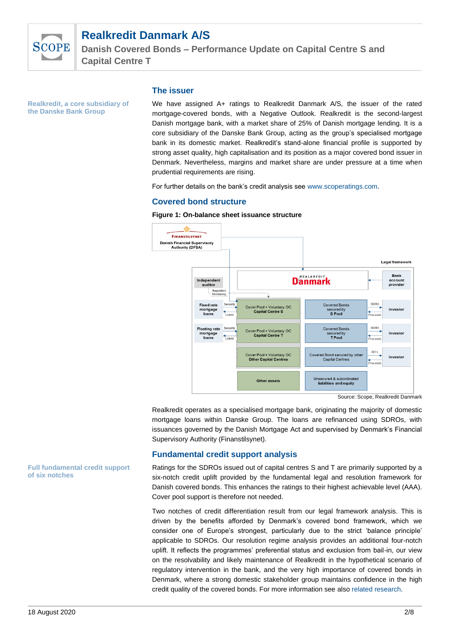

**Danish Covered Bonds – Performance Update on Capital Centre S and Capital Centre T**

**Realkredit, a core subsidiary of the Danske Bank Group**

#### **The issuer**

We have assigned A+ ratings to Realkredit Danmark A/S, the issuer of the rated mortgage-covered bonds, with a Negative Outlook. Realkredit is the second-largest Danish mortgage bank, with a market share of 25% of Danish mortgage lending. It is a core subsidiary of the Danske Bank Group, acting as the group's specialised mortgage bank in its domestic market. Realkredit's stand-alone financial profile is supported by strong asset quality, high capitalisation and its position as a major covered bond issuer in Denmark. Nevertheless, margins and market share are under pressure at a time when prudential requirements are rising.

For further details on the bank's credit analysis see [www.scoperatings.com.](http://www.scoperatings.com/)

#### **Covered bond structure**

**Figure 1: On-balance sheet issuance structure**



Source: Scope, Realkredit Danmark

Realkredit operates as a specialised mortgage bank, originating the majority of domestic mortgage loans within Danske Group. The loans are refinanced using SDROs, with issuances governed by the Danish Mortgage Act and supervised by Denmark's Financial Supervisory Authority (Finanstilsynet).

#### **Fundamental credit support analysis**

Ratings for the SDROs issued out of capital centres S and T are primarily supported by a six-notch credit uplift provided by the fundamental legal and resolution framework for Danish covered bonds. This enhances the ratings to their highest achievable level (AAA). Cover pool support is therefore not needed.

Two notches of credit differentiation result from our legal framework analysis. This is driven by the benefits afforded by Denmark's covered bond framework, which we consider one of Europe's strongest, particularly due to the strict 'balance principle' applicable to SDROs. Our resolution regime analysis provides an additional four-notch uplift. It reflects the programmes' preferential status and exclusion from bail-in, our view on the resolvability and likely maintenance of Realkredit in the hypothetical scenario of regulatory intervention in the bank, and the very high importance of covered bonds in Denmark, where a strong domestic stakeholder group maintains confidence in the high credit quality of the covered bonds. For more information see als[o related research.](https://www.scoperatings.com/#search/research/detail/157781EN)

**Full fundamental credit support of six notches**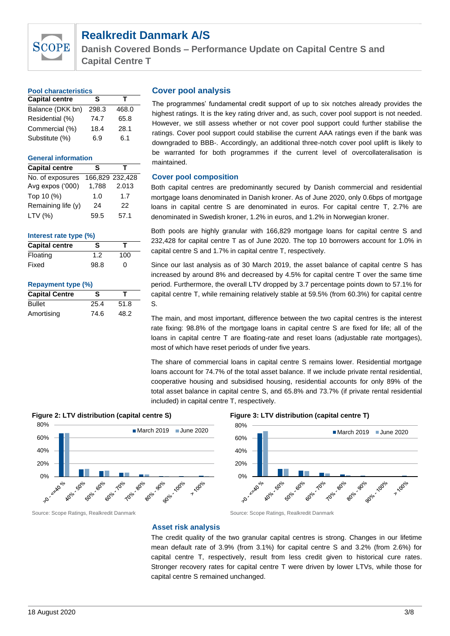

**Danish Covered Bonds – Performance Update on Capital Centre S and Capital Centre T**

| <b>Pool characteristics</b> |       |       |  |  |  |
|-----------------------------|-------|-------|--|--|--|
| <b>Capital centre</b>       | s     | т     |  |  |  |
| Balance (DKK bn)            | 298.3 | 468.0 |  |  |  |
| Residential (%)             | 74.7  | 65.8  |  |  |  |
| Commercial (%)              | 18.4  | 28.1  |  |  |  |
| Substitute (%)              | 6.9   | 6.1   |  |  |  |

#### **General information**

| <b>Capital centre</b> | s     | т               |
|-----------------------|-------|-----------------|
| No. of exposures      |       | 166,829 232,428 |
| Avg expos ('000)      | 1,788 | 2.013           |
| Top 10 (%)            | 1.0   | 1.7             |
| Remaining life (y)    | 24    | 22              |
| LTV (%)               | 59.5  | 57.1            |

#### **Interest rate type (%)**

| <b>Capital centre</b> | S    |     |
|-----------------------|------|-----|
| Floating              | 1.2  | 100 |
| Fixed                 | 98.8 | ი   |

#### **Repayment type (%)**

| <b>Capital Centre</b> | s    |      |  |
|-----------------------|------|------|--|
| <b>Bullet</b>         | 25.4 | 51.8 |  |
| Amortising            | 74.6 | 48.2 |  |

#### **Cover pool analysis**

The programmes' fundamental credit support of up to six notches already provides the highest ratings. It is the key rating driver and, as such, cover pool support is not needed. However, we still assess whether or not cover pool support could further stabilise the ratings. Cover pool support could stabilise the current AAA ratings even if the bank was downgraded to BBB-. Accordingly, an additional three-notch cover pool uplift is likely to be warranted for both programmes if the current level of overcollateralisation is maintained.

#### **Cover pool composition**

Both capital centres are predominantly secured by Danish commercial and residential mortgage loans denominated in Danish kroner. As of June 2020, only 0.6bps of mortgage loans in capital centre S are denominated in euros. For capital centre T, 2.7% are denominated in Swedish kroner, 1.2% in euros, and 1.2% in Norwegian kroner.

Both pools are highly granular with 166,829 mortgage loans for capital centre S and 232,428 for capital centre T as of June 2020. The top 10 borrowers account for 1.0% in capital centre S and 1.7% in capital centre T, respectively.

Since our last analysis as of 30 March 2019, the asset balance of capital centre S has increased by around 8% and decreased by 4.5% for capital centre T over the same time period. Furthermore, the overall LTV dropped by 3.7 percentage points down to 57.1% for capital centre T, while remaining relatively stable at 59.5% (from 60.3%) for capital centre S.

The main, and most important, difference between the two capital centres is the interest rate fixing: 98.8% of the mortgage loans in capital centre S are fixed for life; all of the loans in capital centre T are floating-rate and reset loans (adjustable rate mortgages), most of which have reset periods of under five years.

The share of commercial loans in capital centre S remains lower. Residential mortgage loans account for 74.7% of the total asset balance. If we include private rental residential, cooperative housing and subsidised housing, residential accounts for only 89% of the total asset balance in capital centre S, and 65.8% and 73.7% (if private rental residential included) in capital centre T, respectively.







#### Source: Scope Ratings, Realkredit Danmark Source: Scope Ratings, Realkredit Danmark

#### **Asset risk analysis**

The credit quality of the two granular capital centres is strong. Changes in our lifetime mean default rate of 3.9% (from 3.1%) for capital centre S and 3.2% (from 2.6%) for capital centre T, respectively, result from less credit given to historical cure rates. Stronger recovery rates for capital centre T were driven by lower LTVs, while those for capital centre S remained unchanged.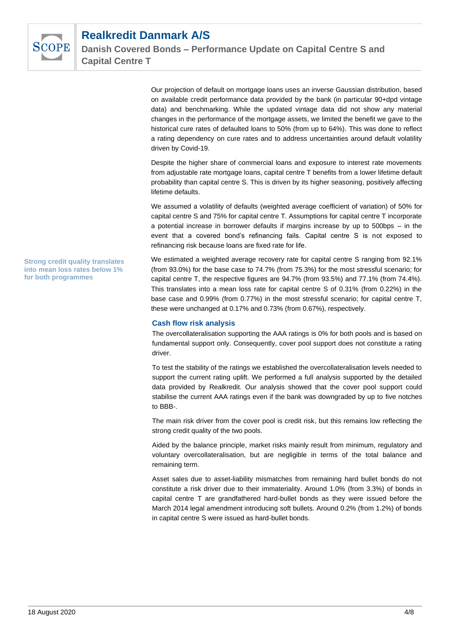

Our projection of default on mortgage loans uses an inverse Gaussian distribution, based on available credit performance data provided by the bank (in particular 90+dpd vintage data) and benchmarking. While the updated vintage data did not show any material changes in the performance of the mortgage assets, we limited the benefit we gave to the historical cure rates of defaulted loans to 50% (from up to 64%). This was done to reflect a rating dependency on cure rates and to address uncertainties around default volatility driven by Covid-19.

Despite the higher share of commercial loans and exposure to interest rate movements from adjustable rate mortgage loans, capital centre T benefits from a lower lifetime default probability than capital centre S. This is driven by its higher seasoning, positively affecting lifetime defaults.

We assumed a volatility of defaults (weighted average coefficient of variation) of 50% for capital centre S and 75% for capital centre T. Assumptions for capital centre T incorporate a potential increase in borrower defaults if margins increase by up to 500bps – in the event that a covered bond's refinancing fails. Capital centre S is not exposed to refinancing risk because loans are fixed rate for life.

We estimated a weighted average recovery rate for capital centre S ranging from 92.1% (from 93.0%) for the base case to 74.7% (from 75.3%) for the most stressful scenario; for capital centre T, the respective figures are 94.7% (from 93.5%) and 77.1% (from 74.4%). This translates into a mean loss rate for capital centre S of 0.31% (from 0.22%) in the base case and 0.99% (from 0.77%) in the most stressful scenario; for capital centre T, these were unchanged at 0.17% and 0.73% (from 0.67%), respectively.

#### **Cash flow risk analysis**

The overcollateralisation supporting the AAA ratings is 0% for both pools and is based on fundamental support only. Consequently, cover pool support does not constitute a rating driver.

To test the stability of the ratings we established the overcollateralisation levels needed to support the current rating uplift. We performed a full analysis supported by the detailed data provided by Realkredit. Our analysis showed that the cover pool support could stabilise the current AAA ratings even if the bank was downgraded by up to five notches to BBB-.

The main risk driver from the cover pool is credit risk, but this remains low reflecting the strong credit quality of the two pools.

Aided by the balance principle, market risks mainly result from minimum, regulatory and voluntary overcollateralisation, but are negligible in terms of the total balance and remaining term.

Asset sales due to asset-liability mismatches from remaining hard bullet bonds do not constitute a risk driver due to their immateriality. Around 1.0% (from 3.3%) of bonds in capital centre T are grandfathered hard-bullet bonds as they were issued before the March 2014 legal amendment introducing soft bullets. Around 0.2% (from 1.2%) of bonds in capital centre S were issued as hard-bullet bonds.

**Strong credit quality translates into mean loss rates below 1% for both programmes**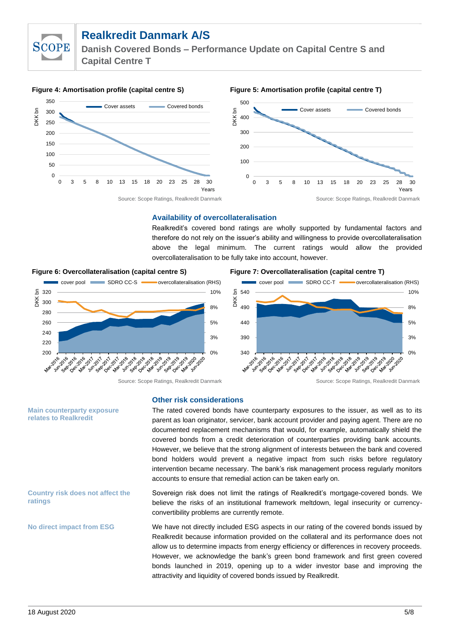**SCOPE** 

**Danish Covered Bonds – Performance Update on Capital Centre S and Capital Centre T**



#### **Availability of overcollateralisation**

Realkredit's covered bond ratings are wholly supported by fundamental factors and therefore do not rely on the issuer's ability and willingness to provide overcollateralisation above the legal minimum. The current ratings would allow the provided overcollateralisation to be fully take into account, however.



#### **Figure 6: Overcollateralisation (capital centre S) Figure 7: Overcollateralisation (capital centre T)**



cover pool SDRO CC-T overcollateralisation (RHS)

0%

**1020-2020** 

3%

5% 8% 10%

**Main counterparty exposure relates to Realkredit**

#### **Country risk does not affect the ratings**

**No direct impact from ESG**

# **Other risk considerations**

The rated covered bonds have counterparty exposures to the issuer, as well as to its parent as loan originator, servicer, bank account provider and paying agent. There are no documented replacement mechanisms that would, for example, automatically shield the covered bonds from a credit deterioration of counterparties providing bank accounts. However, we believe that the strong alignment of interests between the bank and covered bond holders would prevent a negative impact from such risks before regulatory intervention became necessary. The bank's risk management process regularly monitors accounts to ensure that remedial action can be taken early on.

 $340$   $\frac{1}{100}$ 

Mari

ist See Cec Mex Jur See

390

 440 490

 540 DKK bn

Sovereign risk does not limit the ratings of Realkredit's mortgage-covered bonds. We believe the risks of an institutional framework meltdown, legal insecurity or currencyconvertibility problems are currently remote.

We have not directly included ESG aspects in our rating of the covered bonds issued by Realkredit because information provided on the collateral and its performance does not allow us to determine impacts from energy efficiency or differences in recovery proceeds. However, we acknowledge the bank's green bond framework and first green covered bonds launched in 2019, opening up to a wider investor base and improving the attractivity and liquidity of covered bonds issued by Realkredit.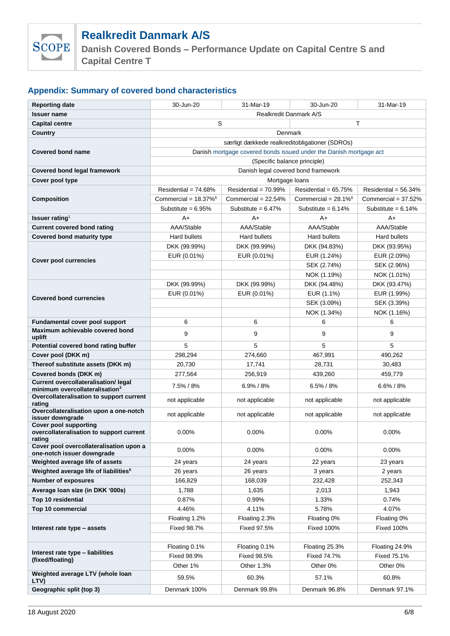

**Danish Covered Bonds – Performance Update on Capital Centre S and Capital Centre T**

# **Appendix: Summary of covered bond characteristics**

| <b>Reporting date</b>                                                    | 30-Jun-20                                                          | 31-Mar-19               | 30-Jun-20                          | 31-Mar-19               |  |  |
|--------------------------------------------------------------------------|--------------------------------------------------------------------|-------------------------|------------------------------------|-------------------------|--|--|
| <b>Issuer name</b>                                                       | <b>Realkredit Danmark A/S</b>                                      |                         |                                    |                         |  |  |
| <b>Capital centre</b>                                                    | S<br>T                                                             |                         |                                    |                         |  |  |
| Country                                                                  | Denmark                                                            |                         |                                    |                         |  |  |
|                                                                          | særligt dækkede realkreditobligationer (SDROs)                     |                         |                                    |                         |  |  |
| <b>Covered bond name</b>                                                 | Danish mortgage covered bonds issued under the Danish mortgage act |                         |                                    |                         |  |  |
|                                                                          | (Specific balance principle)                                       |                         |                                    |                         |  |  |
| Covered bond legal framework                                             | Danish legal covered bond framework                                |                         |                                    |                         |  |  |
| Cover pool type                                                          | Mortgage loans                                                     |                         |                                    |                         |  |  |
|                                                                          | Residential = $74.68%$                                             | Residential = $70.99\%$ | Residential = $65.75%$             | Residential = $56.34\%$ |  |  |
| <b>Composition</b>                                                       | Commercial = $18.37\%$ <sup>6</sup>                                | Commercial = $22.54%$   | Commercial = $28.1\%$ <sup>6</sup> | Commercial = $37.52\%$  |  |  |
|                                                                          | Substitute = $6.95%$                                               | Substitute = $6.47\%$   | Substitute = $6.14\%$              | Substitute = $6.14\%$   |  |  |
| Issuer rating <sup>1</sup>                                               | $A+$                                                               | $A+$                    | A+                                 | A+                      |  |  |
| <b>Current covered bond rating</b>                                       | AAA/Stable                                                         | AAA/Stable              | AAA/Stable                         | AAA/Stable              |  |  |
| <b>Covered bond maturity type</b>                                        | Hard bullets                                                       | Hard bullets            | Hard bullets                       | Hard bullets            |  |  |
|                                                                          | DKK (99.99%)                                                       | DKK (99.99%)            | DKK (94.83%)                       | DKK (93.95%)            |  |  |
|                                                                          | EUR (0.01%)                                                        | EUR (0.01%)             | EUR (1.24%)                        | EUR (2.09%)             |  |  |
| <b>Cover pool currencies</b>                                             |                                                                    |                         | SEK (2.74%)                        | SEK (2.96%)             |  |  |
|                                                                          |                                                                    |                         | NOK (1.19%)                        | NOK (1.01%)             |  |  |
|                                                                          | DKK (99.99%)                                                       | DKK (99.99%)            | DKK (94.48%)                       | DKK (93.47%)            |  |  |
| <b>Covered bond currencies</b>                                           | EUR (0.01%)                                                        | EUR (0.01%)             | EUR (1.1%)                         | EUR (1.99%)             |  |  |
|                                                                          |                                                                    |                         | SEK (3.09%)                        | SEK (3.39%)             |  |  |
|                                                                          |                                                                    |                         | NOK (1.34%)                        | NOK (1.16%)             |  |  |
| Fundamental cover pool support                                           | 6                                                                  | 6                       | 6                                  | 6                       |  |  |
| Maximum achievable covered bond<br>uplift                                | 9                                                                  | 9                       | 9                                  | 9                       |  |  |
| Potential covered bond rating buffer                                     | 5                                                                  | 5                       | 5                                  | 5                       |  |  |
| Cover pool (DKK m)                                                       | 298,294                                                            | 274,660                 | 467,991                            | 490,262                 |  |  |
| Thereof substitute assets (DKK m)                                        | 20,730                                                             | 17,741                  | 28,731                             | 30,483                  |  |  |
| Covered bonds (DKK m)                                                    | 277,564                                                            | 256,919                 | 439,260                            | 459,779                 |  |  |
| <b>Current overcollateralisation/ legal</b>                              | 7.5% / 8%                                                          | $6.9\%$ / 8%            | $6.5\% / 8\%$                      | $6.6\% / 8\%$           |  |  |
| minimum overcollateralisation <sup>3</sup>                               |                                                                    |                         |                                    |                         |  |  |
| Overcollateralisation to support current<br>rating                       | not applicable                                                     | not applicable          | not applicable                     | not applicable          |  |  |
| Overcollateralisation upon a one-notch<br>issuer downgrade               | not applicable                                                     | not applicable          | not applicable                     | not applicable          |  |  |
| <b>Cover pool supporting</b><br>overcollateralisation to support current | 0.00%                                                              | 0.00%                   | 0.00%                              | 0.00%                   |  |  |
| rating                                                                   |                                                                    |                         |                                    |                         |  |  |
| Cover pool overcollateralisation upon a<br>one-notch issuer downgrade    | 0.00%                                                              | $0.00\%$                | 0.00%                              | 0.00%                   |  |  |
| Weighted average life of assets                                          | 24 years                                                           | 24 years                | 22 years                           | 23 years                |  |  |
| Weighted average life of liabilities <sup>5</sup>                        | 26 years                                                           | 26 years                | 3 years                            | 2 years                 |  |  |
| <b>Number of exposures</b>                                               | 166,829                                                            | 168,039                 | 232,428                            | 252,343                 |  |  |
| Average Ioan size (in DKK '000s)                                         | 1,788                                                              | 1,635                   | 2,013                              | 1,943                   |  |  |
| Top 10 residential                                                       | 0.87%                                                              | 0.99%                   | 1.33%                              | 0.74%                   |  |  |
| Top 10 commercial                                                        | 4.46%                                                              | 4.11%                   | 5.78%                              | 4.07%                   |  |  |
|                                                                          | Floating 1.2%                                                      | Floating 2.3%           | Floating 0%                        | Floating 0%             |  |  |
| Interest rate type - assets                                              | Fixed 98.7%                                                        | Fixed 97.5%             | <b>Fixed 100%</b>                  | Fixed 100%              |  |  |
|                                                                          |                                                                    |                         |                                    |                         |  |  |
| Interest rate type - liabilities                                         | Floating 0.1%                                                      | Floating 0.1%           | Floating 25.3%                     | Floating 24.9%          |  |  |
| (fixed/floating)                                                         | Fixed 98.9%                                                        | Fixed 98.5%             | Fixed 74.7%                        | Fixed 75.1%             |  |  |
|                                                                          | Other 1%                                                           | Other 1.3%              | Other 0%                           | Other 0%                |  |  |
| Weighted average LTV (whole loan<br>LTV)                                 | 59.5%                                                              | 60.3%                   | 57.1%                              | 60.8%                   |  |  |
| Geographic split (top 3)                                                 | Denmark 100%                                                       | Denmark 99.8%           | Denmark 96.8%                      | Denmark 97.1%           |  |  |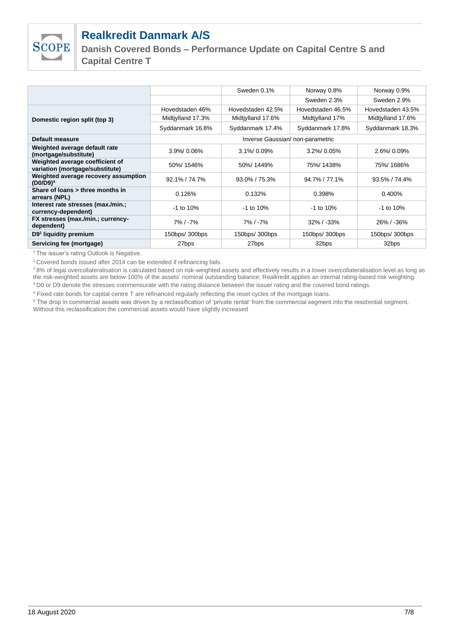

**Danish Covered Bonds – Performance Update on Capital Centre S and Capital Centre T**

|                   | Sweden 0.1%       | Norway 0.8%       | Norway 0.9%                     |
|-------------------|-------------------|-------------------|---------------------------------|
|                   |                   | Sweden 2.3%       | Sweden 2.9%                     |
| Hovedstaden 46%   | Hovedstaden 42.5% | Hovedstaden 46.5% | Hovedstaden 43.5%               |
| Midtiylland 17.3% | Midtiylland 17.6% | Midtiylland 17%   | Midtiylland 17.6%               |
| Syddanmark 16.8%  | Syddanmark 17.4%  | Syddanmark 17.8%  | Syddanmark 18.3%                |
|                   |                   |                   |                                 |
| $3.9\%$ 0.06%     | $3.1\%$ 0.09%     | $3.2\%$ 0.05%     | 2.6%/0.09%                      |
| 50%/1546%         | 50%/1449%         | 75%/1438%         | 75%/1686%                       |
| $92.1\% / 74.7\%$ | 93.0% / 75.3%     | 94.7% / 77.1%     | 93.5% / 74.4%                   |
| 0.126%            | 0.132%            | 0.398%            | 0.400%                          |
| $-1$ to 10%       | $-1$ to $10\%$    | -1 to 10%         | $-1$ to 10%                     |
| $7\%$ / $-7\%$    | 7% / -7%          | $32\%$ / -33%     | 26% / -36%                      |
| 150bps/ 300bps    | 150bps/ 300bps    | 150bps/ 300bps    | 150bps/ 300bps                  |
| 27bps             | 27bps             | 32bps             | 32bps                           |
|                   |                   |                   | Inverse Gaussian/non-parametric |

<sup>1</sup>The issuer's rating Outlook is Negative.

<sup>2</sup> Covered bonds issued after 2014 can be extended if refinancing fails.

<sup>3</sup>8% of legal overcollateralisation is calculated based on risk-weighted assets and effectively results in a lower overcollateralisation level as long as the risk-weighted assets are below 100% of the assets' nominal outstanding balance; Realkredit applies an internal rating-based risk weighting. <sup>4</sup>D0 or D9 denote the stresses commensurate with the rating distance between the issuer rating and the covered bond ratings.

<sup>5</sup> Fixed rate bonds for capital centre T are refinanced regularly reflecting the reset cycles of the mortgage loans.

<sup>6</sup> The drop in commercial assets was driven by a reclassification of 'private rental' from the commercial segment into the residential segment.

Without this reclassification the commercial assets would have slightly increased